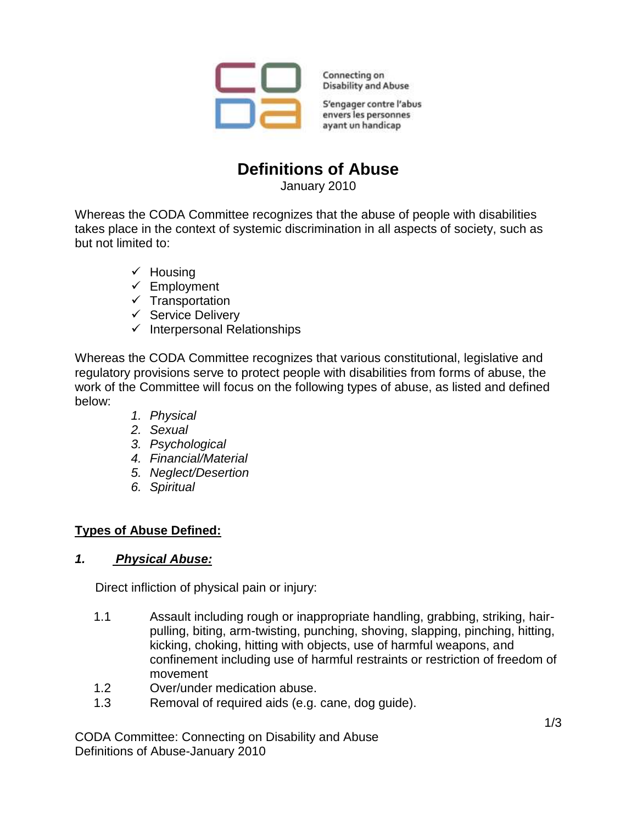

Connecting on **Disability and Abuse** 

S'engager contre l'abus envers les personnes ayant un handicap

# **Definitions of Abuse**

January 2010

Whereas the CODA Committee recognizes that the abuse of people with disabilities takes place in the context of systemic discrimination in all aspects of society, such as but not limited to:

- $\checkmark$  Housing
- $\checkmark$  Employment
- $\checkmark$  Transportation
- $\checkmark$  Service Delivery
- $\checkmark$  Interpersonal Relationships

Whereas the CODA Committee recognizes that various constitutional, legislative and regulatory provisions serve to protect people with disabilities from forms of abuse, the work of the Committee will focus on the following types of abuse, as listed and defined below:

- *1. Physical*
- *2. Sexual*
- *3. Psychological*
- *4. Financial/Material*
- *5. Neglect/Desertion*
- *6. Spiritual*

#### **Types of Abuse Defined:**

#### *1. Physical Abuse:*

Direct infliction of physical pain or injury:

- 1.1 Assault including rough or inappropriate handling, grabbing, striking, hairpulling, biting, arm-twisting, punching, shoving, slapping, pinching, hitting, kicking, choking, hitting with objects, use of harmful weapons, and confinement including use of harmful restraints or restriction of freedom of movement
- 1.2 Over/under medication abuse.
- 1.3 Removal of required aids (e.g. cane, dog guide).

CODA Committee: Connecting on Disability and Abuse Definitions of Abuse-January 2010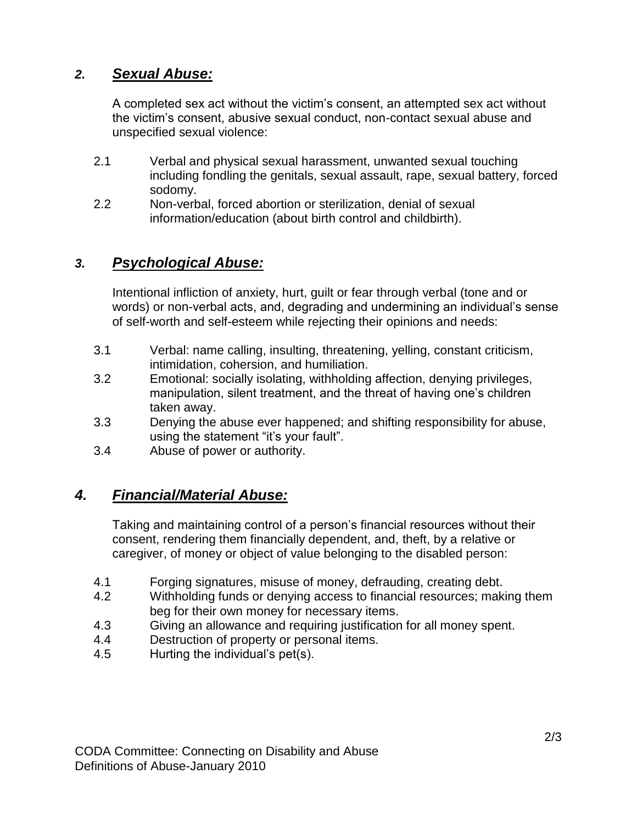### *2. Sexual Abuse:*

A completed sex act without the victim's consent, an attempted sex act without the victim's consent, abusive sexual conduct, non-contact sexual abuse and unspecified sexual violence:

- 2.1 Verbal and physical sexual harassment, unwanted sexual touching including fondling the genitals, sexual assault, rape, sexual battery, forced sodomy.
- 2.2 Non-verbal, forced abortion or sterilization, denial of sexual information/education (about birth control and childbirth).

### *3. Psychological Abuse:*

Intentional infliction of anxiety, hurt, guilt or fear through verbal (tone and or words) or non-verbal acts, and, degrading and undermining an individual's sense of self-worth and self-esteem while rejecting their opinions and needs:

- 3.1 Verbal: name calling, insulting, threatening, yelling, constant criticism, intimidation, cohersion, and humiliation.
- 3.2 Emotional: socially isolating, withholding affection, denying privileges, manipulation, silent treatment, and the threat of having one's children taken away.
- 3.3 Denying the abuse ever happened; and shifting responsibility for abuse, using the statement "it's your fault".
- 3.4 Abuse of power or authority.

#### *4. Financial/Material Abuse:*

Taking and maintaining control of a person's financial resources without their consent, rendering them financially dependent, and, theft, by a relative or caregiver, of money or object of value belonging to the disabled person:

- 4.1 Forging signatures, misuse of money, defrauding, creating debt.
- 4.2 Withholding funds or denying access to financial resources; making them beg for their own money for necessary items.
- 4.3 Giving an allowance and requiring justification for all money spent.
- 4.4 Destruction of property or personal items.
- 4.5 Hurting the individual's pet(s).